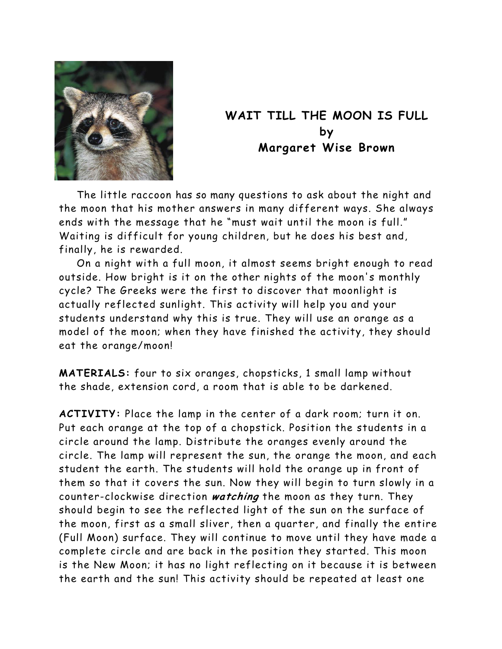

## **WAIT TILL THE MOON IS FULL by Margaret Wise Brown**

The little raccoon has so many questions to ask about the night and the moon that his mother answers in many different ways. She always ends with the message that he "must wait until the moon is full." Waiting is difficult for young children, but he does his best and, finally, he is rewarded.

On a night with a full moon, it almost seems bright enough to read outside. How bright is it on the other nights of the moon's monthly cycle? The Greeks were the first to discover that moonlight is actually reflected sunlight. This activity will help you and your students understand why this is true. They will use an orange as a model of the moon; when they have finished the activity, they should eat the orange/moon!

**MATERIALS:** four to six oranges, chopsticks, 1 small lamp without the shade, extension cord, a room that is able to be darkened.

**ACTIVITY:** Place the lamp in the center of a dark room; turn it on. Put each orange at the top of a chopstick. Position the students in a circle around the lamp. Distribute the oranges evenly around the circle. The lamp will represent the sun, the orange the moon, and each student the earth. The students will hold the orange up in front of them so that it covers the sun. Now they will begin to turn slowly in a counter-clockwise direction **watching** the moon as they turn. They should begin to see the reflected light of the sun on the surface of the moon, first as a small sliver, then a quarter, and finally the entire (Full Moon) surface. They will continue to move until they have made a complete circle and are back in the position they started. This moon is the New Moon; it has no light reflecting on it because it is between the earth and the sun! This activity should be repeated at least one